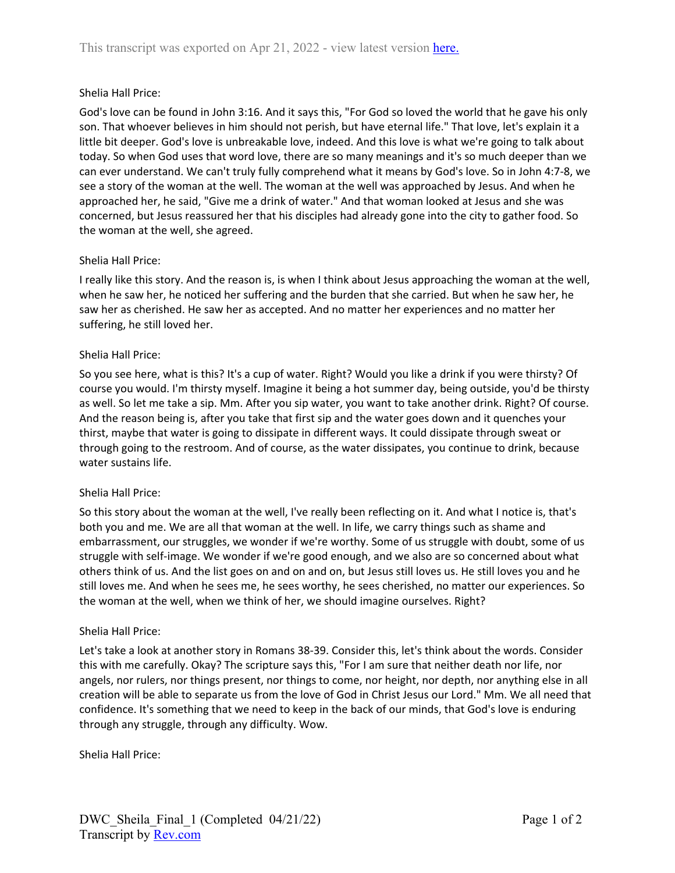### Shelia Hall Price:

God's love can be found in John 3:16. And it says this, "For God so loved the world that he gave his only son. That whoever believes in him should not perish, but have eternal life." That love, let's explain it a little bit deeper. God's love is unbreakable love, indeed. And this love is what we're going to talk about today. So when God uses that word love, there are so many meanings and it's so much deeper than we can ever understand. We can't truly fully comprehend what it means by God's love. So in John 4:7-8, we see a story of the woman at the well. The woman at the well was approached by Jesus. And when he approached her, he said, "Give me a drink of water." And that woman looked at Jesus and she was concerned, but Jesus reassured her that his disciples had already gone into the city to gather food. So the woman at the well, she agreed.

### Shelia Hall Price:

I really like this story. And the reason is, is when I think about Jesus approaching the woman at the well, when he saw her, he noticed her suffering and the burden that she carried. But when he saw her, he saw her as cherished. He saw her as accepted. And no matter her experiences and no matter her suffering, he still loved her.

#### Shelia Hall Price:

So you see here, what is this? It's a cup of water. Right? Would you like a drink if you were thirsty? Of course you would. I'm thirsty myself. Imagine it being a hot summer day, being outside, you'd be thirsty as well. So let me take a sip. Mm. After you sip water, you want to take another drink. Right? Of course. And the reason being is, after you take that first sip and the water goes down and it quenches your thirst, maybe that water is going to dissipate in different ways. It could dissipate through sweat or through going to the restroom. And of course, as the water dissipates, you continue to drink, because water sustains life.

#### Shelia Hall Price:

So this story about the woman at the well, I've really been reflecting on it. And what I notice is, that's both you and me. We are all that woman at the well. In life, we carry things such as shame and embarrassment, our struggles, we wonder if we're worthy. Some of us struggle with doubt, some of us struggle with self-image. We wonder if we're good enough, and we also are so concerned about what others think of us. And the list goes on and on and on, but Jesus still loves us. He still loves you and he still loves me. And when he sees me, he sees worthy, he sees cherished, no matter our experiences. So the woman at the well, when we think of her, we should imagine ourselves. Right?

#### Shelia Hall Price:

Let's take a look at another story in Romans 38-39. Consider this, let's think about the words. Consider this with me carefully. Okay? The scripture says this, "For I am sure that neither death nor life, nor angels, nor rulers, nor things present, nor things to come, nor height, nor depth, nor anything else in all creation will be able to separate us from the love of God in Christ Jesus our Lord." Mm. We all need that confidence. It's something that we need to keep in the back of our minds, that God's love is enduring through any struggle, through any difficulty. Wow.

Shelia Hall Price: